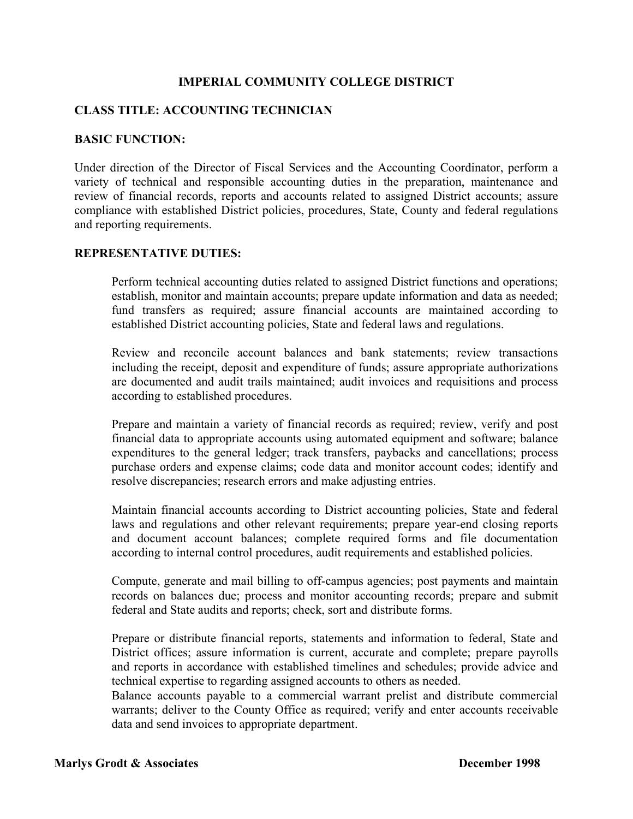# **IMPERIAL COMMUNITY COLLEGE DISTRICT**

# **CLASS TITLE: ACCOUNTING TECHNICIAN**

#### **BASIC FUNCTION:**

Under direction of the Director of Fiscal Services and the Accounting Coordinator, perform a variety of technical and responsible accounting duties in the preparation, maintenance and review of financial records, reports and accounts related to assigned District accounts; assure compliance with established District policies, procedures, State, County and federal regulations and reporting requirements.

### **REPRESENTATIVE DUTIES:**

Perform technical accounting duties related to assigned District functions and operations; establish, monitor and maintain accounts; prepare update information and data as needed; fund transfers as required; assure financial accounts are maintained according to established District accounting policies, State and federal laws and regulations.

Review and reconcile account balances and bank statements; review transactions including the receipt, deposit and expenditure of funds; assure appropriate authorizations are documented and audit trails maintained; audit invoices and requisitions and process according to established procedures.

Prepare and maintain a variety of financial records as required; review, verify and post financial data to appropriate accounts using automated equipment and software; balance expenditures to the general ledger; track transfers, paybacks and cancellations; process purchase orders and expense claims; code data and monitor account codes; identify and resolve discrepancies; research errors and make adjusting entries.

Maintain financial accounts according to District accounting policies, State and federal laws and regulations and other relevant requirements; prepare year-end closing reports and document account balances; complete required forms and file documentation according to internal control procedures, audit requirements and established policies.

Compute, generate and mail billing to off-campus agencies; post payments and maintain records on balances due; process and monitor accounting records; prepare and submit federal and State audits and reports; check, sort and distribute forms.

Prepare or distribute financial reports, statements and information to federal, State and District offices; assure information is current, accurate and complete; prepare payrolls and reports in accordance with established timelines and schedules; provide advice and technical expertise to regarding assigned accounts to others as needed.

Balance accounts payable to a commercial warrant prelist and distribute commercial warrants; deliver to the County Office as required; verify and enter accounts receivable data and send invoices to appropriate department.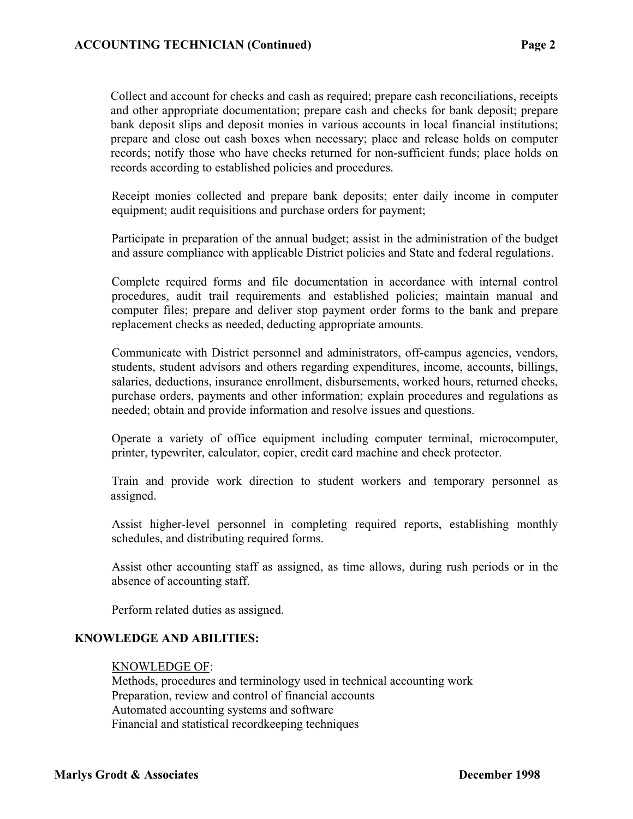Collect and account for checks and cash as required; prepare cash reconciliations, receipts and other appropriate documentation; prepare cash and checks for bank deposit; prepare bank deposit slips and deposit monies in various accounts in local financial institutions; prepare and close out cash boxes when necessary; place and release holds on computer records; notify those who have checks returned for non-sufficient funds; place holds on records according to established policies and procedures.

Receipt monies collected and prepare bank deposits; enter daily income in computer equipment; audit requisitions and purchase orders for payment;

Participate in preparation of the annual budget; assist in the administration of the budget and assure compliance with applicable District policies and State and federal regulations.

Complete required forms and file documentation in accordance with internal control procedures, audit trail requirements and established policies; maintain manual and computer files; prepare and deliver stop payment order forms to the bank and prepare replacement checks as needed, deducting appropriate amounts.

Communicate with District personnel and administrators, off-campus agencies, vendors, students, student advisors and others regarding expenditures, income, accounts, billings, salaries, deductions, insurance enrollment, disbursements, worked hours, returned checks, purchase orders, payments and other information; explain procedures and regulations as needed; obtain and provide information and resolve issues and questions.

Operate a variety of office equipment including computer terminal, microcomputer, printer, typewriter, calculator, copier, credit card machine and check protector.

 Train and provide work direction to student workers and temporary personnel as assigned.

Assist higher-level personnel in completing required reports, establishing monthly schedules, and distributing required forms.

Assist other accounting staff as assigned, as time allows, during rush periods or in the absence of accounting staff.

Perform related duties as assigned.

#### **KNOWLEDGE AND ABILITIES:**

#### KNOWLEDGE OF:

 Methods, procedures and terminology used in technical accounting work Preparation, review and control of financial accounts Automated accounting systems and software Financial and statistical recordkeeping techniques